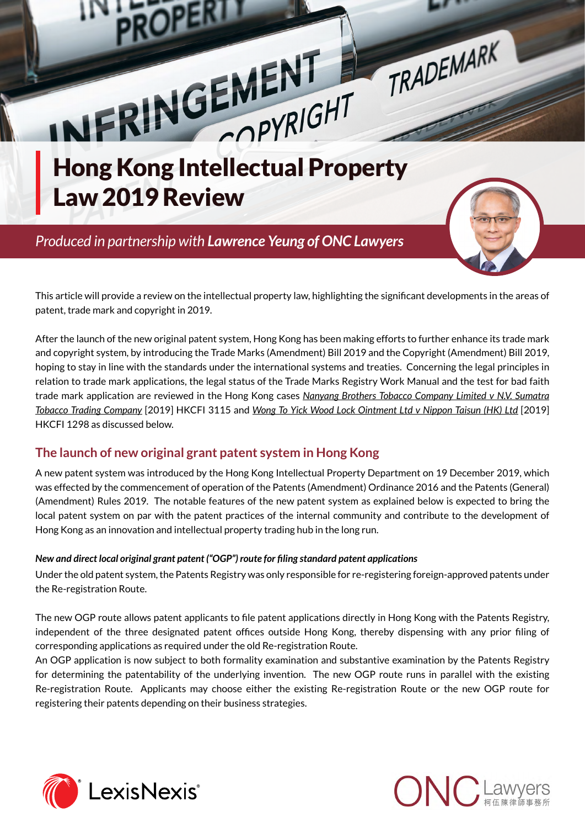

This article will provide a review on the intellectual property law, highlighting the significant developments in the areas of patent, trade mark and copyright in 2019.

After the launch of the new original patent system, Hong Kong has been making efforts to further enhance its trade mark and copyright system, by introducing the Trade Marks (Amendment) Bill 2019 and the Copyright (Amendment) Bill 2019, hoping to stay in line with the standards under the international systems and treaties. Concerning the legal principles in relation to trade mark applications, the legal status of the Trade Marks Registry Work Manual and the test for bad faith trade mark application are reviewed in the Hong Kong cases *Nanyang Brothers Tobacco Company Limited v N.V. Sumatra Tobacco Trading Company* [2019] HKCFI 3115 and *Wong To Yick Wood Lock Ointment Ltd v Nippon Taisun (HK) Ltd* [2019] HKCFI 1298 as discussed below.

## **The launch of new original grant patent system in Hong Kong**

A new patent system was introduced by the Hong Kong Intellectual Property Department on 19 December 2019, which was effected by the commencement of operation of the Patents (Amendment) Ordinance 2016 and the Patents (General) (Amendment) Rules 2019. The notable features of the new patent system as explained below is expected to bring the local patent system on par with the patent practices of the internal community and contribute to the development of Hong Kong as an innovation and intellectual property trading hub in the long run.

#### *New and direct local original grant patent ("OGP") route for filing standard patent applications*

Under the old patent system, the Patents Registry was only responsible for re-registering foreign-approved patents under the Re-registration Route.

The new OGP route allows patent applicants to file patent applications directly in Hong Kong with the Patents Registry, independent of the three designated patent offices outside Hong Kong, thereby dispensing with any prior filing of corresponding applications as required under the old Re-registration Route.

An OGP application is now subject to both formality examination and substantive examination by the Patents Registry for determining the patentability of the underlying invention. The new OGP route runs in parallel with the existing Re-registration Route. Applicants may choose either the existing Re-registration Route or the new OGP route for registering their patents depending on their business strategies.



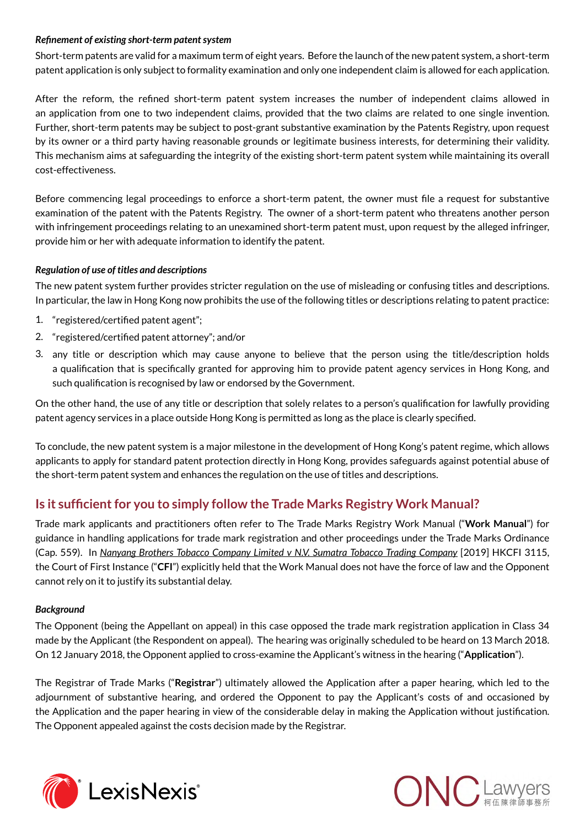#### *Refinement of existing short-term patent system*

Short-term patents are valid for a maximum term of eight years. Before the launch of the new patent system, a short-term patent application is only subject to formality examination and only one independent claim is allowed for each application.

After the reform, the refined short-term patent system increases the number of independent claims allowed in an application from one to two independent claims, provided that the two claims are related to one single invention. Further, short-term patents may be subject to post-grant substantive examination by the Patents Registry, upon request by its owner or a third party having reasonable grounds or legitimate business interests, for determining their validity. This mechanism aims at safeguarding the integrity of the existing short-term patent system while maintaining its overall cost-effectiveness.

Before commencing legal proceedings to enforce a short-term patent, the owner must file a request for substantive examination of the patent with the Patents Registry. The owner of a short-term patent who threatens another person with infringement proceedings relating to an unexamined short-term patent must, upon request by the alleged infringer, provide him or her with adequate information to identify the patent.

#### *Regulation of use of titles and descriptions*

The new patent system further provides stricter regulation on the use of misleading or confusing titles and descriptions. In particular, the law in Hong Kong now prohibits the use of the following titles or descriptions relating to patent practice:

- 1. "registered/certified patent agent";
- 2. "registered/certified patent attorney"; and/or
- 3. any title or description which may cause anyone to believe that the person using the title/description holds a qualification that is specifically granted for approving him to provide patent agency services in Hong Kong, and such qualification is recognised by law or endorsed by the Government.

On the other hand, the use of any title or description that solely relates to a person's qualification for lawfully providing patent agency services in a place outside Hong Kong is permitted as long as the place is clearly specified.

To conclude, the new patent system is a major milestone in the development of Hong Kong's patent regime, which allows applicants to apply for standard patent protection directly in Hong Kong, provides safeguards against potential abuse of the short-term patent system and enhances the regulation on the use of titles and descriptions.

## **Is it sufficient for you to simply follow the Trade Marks Registry Work Manual?**

Trade mark applicants and practitioners often refer to The Trade Marks Registry Work Manual ("**Work Manual**") for guidance in handling applications for trade mark registration and other proceedings under the Trade Marks Ordinance (Cap. 559). In *Nanyang Brothers Tobacco Company Limited v N.V. Sumatra Tobacco Trading Company* [2019] HKCFI 3115, the Court of First Instance ("**CFI**") explicitly held that the Work Manual does not have the force of law and the Opponent cannot rely on it to justify its substantial delay.

#### *Background*

The Opponent (being the Appellant on appeal) in this case opposed the trade mark registration application in Class 34 made by the Applicant (the Respondent on appeal). The hearing was originally scheduled to be heard on 13 March 2018. On 12 January 2018, the Opponent applied to cross-examine the Applicant's witness in the hearing ("**Application**").

The Registrar of Trade Marks ("**Registrar**") ultimately allowed the Application after a paper hearing, which led to the adjournment of substantive hearing, and ordered the Opponent to pay the Applicant's costs of and occasioned by the Application and the paper hearing in view of the considerable delay in making the Application without justification. The Opponent appealed against the costs decision made by the Registrar.



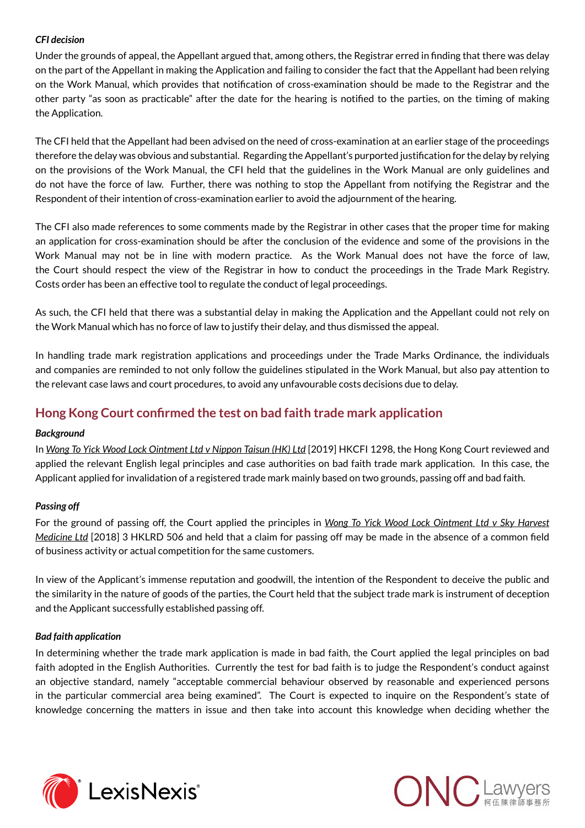#### *CFI decision*

Under the grounds of appeal, the Appellant argued that, among others, the Registrar erred in finding that there was delay on the part of the Appellant in making the Application and failing to consider the fact that the Appellant had been relying on the Work Manual, which provides that notification of cross-examination should be made to the Registrar and the other party "as soon as practicable" after the date for the hearing is notified to the parties, on the timing of making the Application.

The CFI held that the Appellant had been advised on the need of cross-examination at an earlier stage of the proceedings therefore the delay was obvious and substantial. Regarding the Appellant's purported justification for the delay by relying on the provisions of the Work Manual, the CFI held that the guidelines in the Work Manual are only guidelines and do not have the force of law. Further, there was nothing to stop the Appellant from notifying the Registrar and the Respondent of their intention of cross-examination earlier to avoid the adjournment of the hearing.

The CFI also made references to some comments made by the Registrar in other cases that the proper time for making an application for cross-examination should be after the conclusion of the evidence and some of the provisions in the Work Manual may not be in line with modern practice. As the Work Manual does not have the force of law, the Court should respect the view of the Registrar in how to conduct the proceedings in the Trade Mark Registry. Costs order has been an effective tool to regulate the conduct of legal proceedings.

As such, the CFI held that there was a substantial delay in making the Application and the Appellant could not rely on the Work Manual which has no force of law to justify their delay, and thus dismissed the appeal.

In handling trade mark registration applications and proceedings under the Trade Marks Ordinance, the individuals and companies are reminded to not only follow the guidelines stipulated in the Work Manual, but also pay attention to the relevant case laws and court procedures, to avoid any unfavourable costs decisions due to delay.

## **Hong Kong Court confirmed the test on bad faith trade mark application**

#### *Background*

In *Wong To Yick Wood Lock Ointment Ltd v Nippon Taisun (HK) Ltd* [2019] HKCFI 1298, the Hong Kong Court reviewed and applied the relevant English legal principles and case authorities on bad faith trade mark application. In this case, the Applicant applied for invalidation of a registered trade mark mainly based on two grounds, passing off and bad faith.

#### *Passing off*

For the ground of passing off, the Court applied the principles in *Wong To Yick Wood Lock Ointment Ltd v Sky Harvest Medicine Ltd* [2018] 3 HKLRD 506 and held that a claim for passing off may be made in the absence of a common field of business activity or actual competition for the same customers.

In view of the Applicant's immense reputation and goodwill, the intention of the Respondent to deceive the public and the similarity in the nature of goods of the parties, the Court held that the subject trade mark is instrument of deception and the Applicant successfully established passing off.

#### *Bad faith application*

In determining whether the trade mark application is made in bad faith, the Court applied the legal principles on bad faith adopted in the English Authorities. Currently the test for bad faith is to judge the Respondent's conduct against an objective standard, namely "acceptable commercial behaviour observed by reasonable and experienced persons in the particular commercial area being examined". The Court is expected to inquire on the Respondent's state of knowledge concerning the matters in issue and then take into account this knowledge when deciding whether the



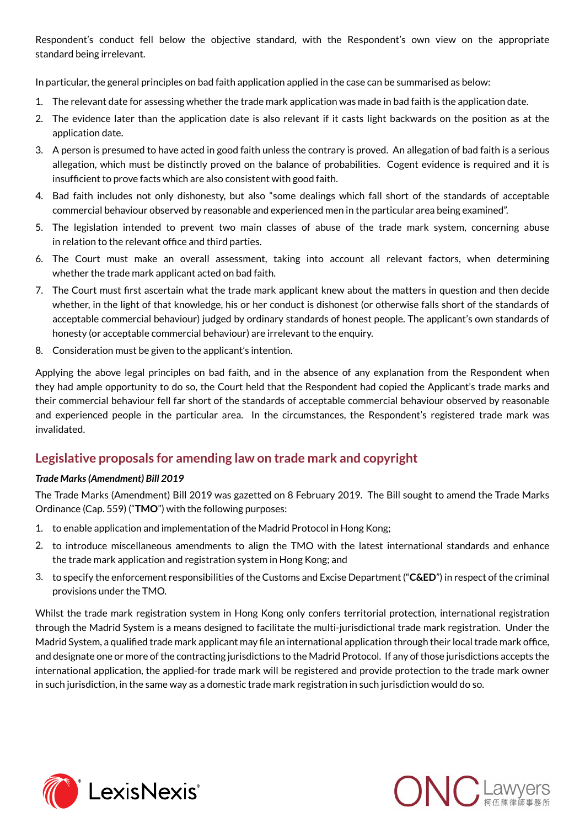Respondent's conduct fell below the objective standard, with the Respondent's own view on the appropriate standard being irrelevant.

In particular, the general principles on bad faith application applied in the case can be summarised as below:

- 1. The relevant date for assessing whether the trade mark application was made in bad faith is the application date.
- 2. The evidence later than the application date is also relevant if it casts light backwards on the position as at the application date.
- 3. A person is presumed to have acted in good faith unless the contrary is proved. An allegation of bad faith is a serious allegation, which must be distinctly proved on the balance of probabilities. Cogent evidence is required and it is insufficient to prove facts which are also consistent with good faith.
- 4. Bad faith includes not only dishonesty, but also "some dealings which fall short of the standards of acceptable commercial behaviour observed by reasonable and experienced men in the particular area being examined".
- 5. The legislation intended to prevent two main classes of abuse of the trade mark system, concerning abuse in relation to the relevant office and third parties.
- 6. The Court must make an overall assessment, taking into account all relevant factors, when determining whether the trade mark applicant acted on bad faith.
- 7. The Court must first ascertain what the trade mark applicant knew about the matters in question and then decide whether, in the light of that knowledge, his or her conduct is dishonest (or otherwise falls short of the standards of acceptable commercial behaviour) judged by ordinary standards of honest people. The applicant's own standards of honesty (or acceptable commercial behaviour) are irrelevant to the enquiry.
- 8. Consideration must be given to the applicant's intention.

Applying the above legal principles on bad faith, and in the absence of any explanation from the Respondent when they had ample opportunity to do so, the Court held that the Respondent had copied the Applicant's trade marks and their commercial behaviour fell far short of the standards of acceptable commercial behaviour observed by reasonable and experienced people in the particular area. In the circumstances, the Respondent's registered trade mark was invalidated.

### **Legislative proposals for amending law on trade mark and copyright**

#### *Trade Marks (Amendment) Bill 2019*

The Trade Marks (Amendment) Bill 2019 was gazetted on 8 February 2019. The Bill sought to amend the Trade Marks Ordinance (Cap. 559) ("**TMO**") with the following purposes:

- 1. to enable application and implementation of the Madrid Protocol in Hong Kong;
- 2. to introduce miscellaneous amendments to align the TMO with the latest international standards and enhance the trade mark application and registration system in Hong Kong; and
- 3. to specify the enforcement responsibilities of the Customs and Excise Department ("**C&ED**") in respect of the criminal provisions under the TMO.

Whilst the trade mark registration system in Hong Kong only confers territorial protection, international registration through the Madrid System is a means designed to facilitate the multi-jurisdictional trade mark registration. Under the Madrid System, a qualified trade mark applicant may file an international application through their local trade mark office, and designate one or more of the contracting jurisdictions to the Madrid Protocol. If any of those jurisdictions accepts the international application, the applied-for trade mark will be registered and provide protection to the trade mark owner in such jurisdiction, in the same way as a domestic trade mark registration in such jurisdiction would do so.



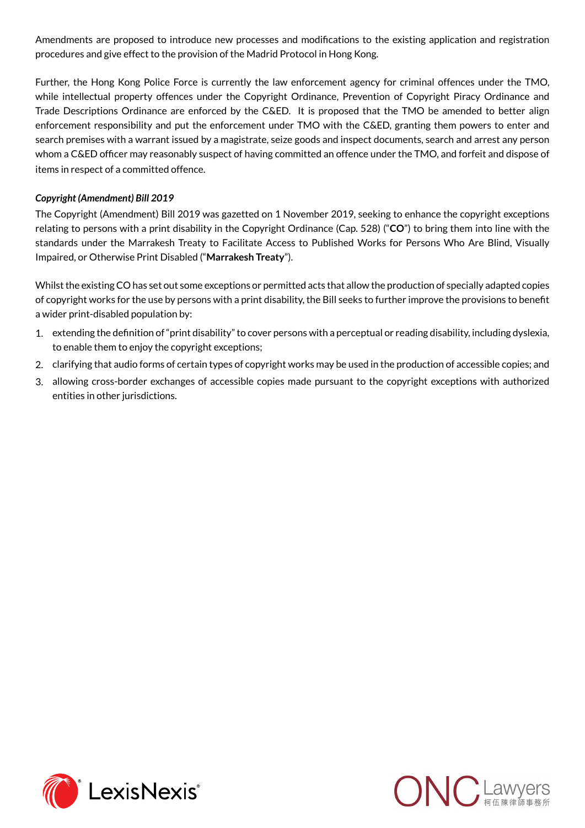Amendments are proposed to introduce new processes and modifications to the existing application and registration procedures and give effect to the provision of the Madrid Protocol in Hong Kong.

Further, the Hong Kong Police Force is currently the law enforcement agency for criminal offences under the TMO, while intellectual property offences under the Copyright Ordinance, Prevention of Copyright Piracy Ordinance and Trade Descriptions Ordinance are enforced by the C&ED. It is proposed that the TMO be amended to better align enforcement responsibility and put the enforcement under TMO with the C&ED, granting them powers to enter and search premises with a warrant issued by a magistrate, seize goods and inspect documents, search and arrest any person whom a C&ED officer may reasonably suspect of having committed an offence under the TMO, and forfeit and dispose of items in respect of a committed offence.

#### *Copyright (Amendment) Bill 2019*

The Copyright (Amendment) Bill 2019 was gazetted on 1 November 2019, seeking to enhance the copyright exceptions relating to persons with a print disability in the Copyright Ordinance (Cap. 528) ("**CO**") to bring them into line with the standards under the Marrakesh Treaty to Facilitate Access to Published Works for Persons Who Are Blind, Visually Impaired, or Otherwise Print Disabled ("**Marrakesh Treaty**").

Whilst the existing CO has set out some exceptions or permitted acts that allow the production of specially adapted copies of copyright works for the use by persons with a print disability, the Bill seeks to further improve the provisions to benefit a wider print-disabled population by:

- 1. extending the definition of "print disability" to cover persons with a perceptual or reading disability, including dyslexia, to enable them to enjoy the copyright exceptions;
- 2. clarifying that audio forms of certain types of copyright works may be used in the production of accessible copies; and
- 3. allowing cross-border exchanges of accessible copies made pursuant to the copyright exceptions with authorized entities in other jurisdictions.